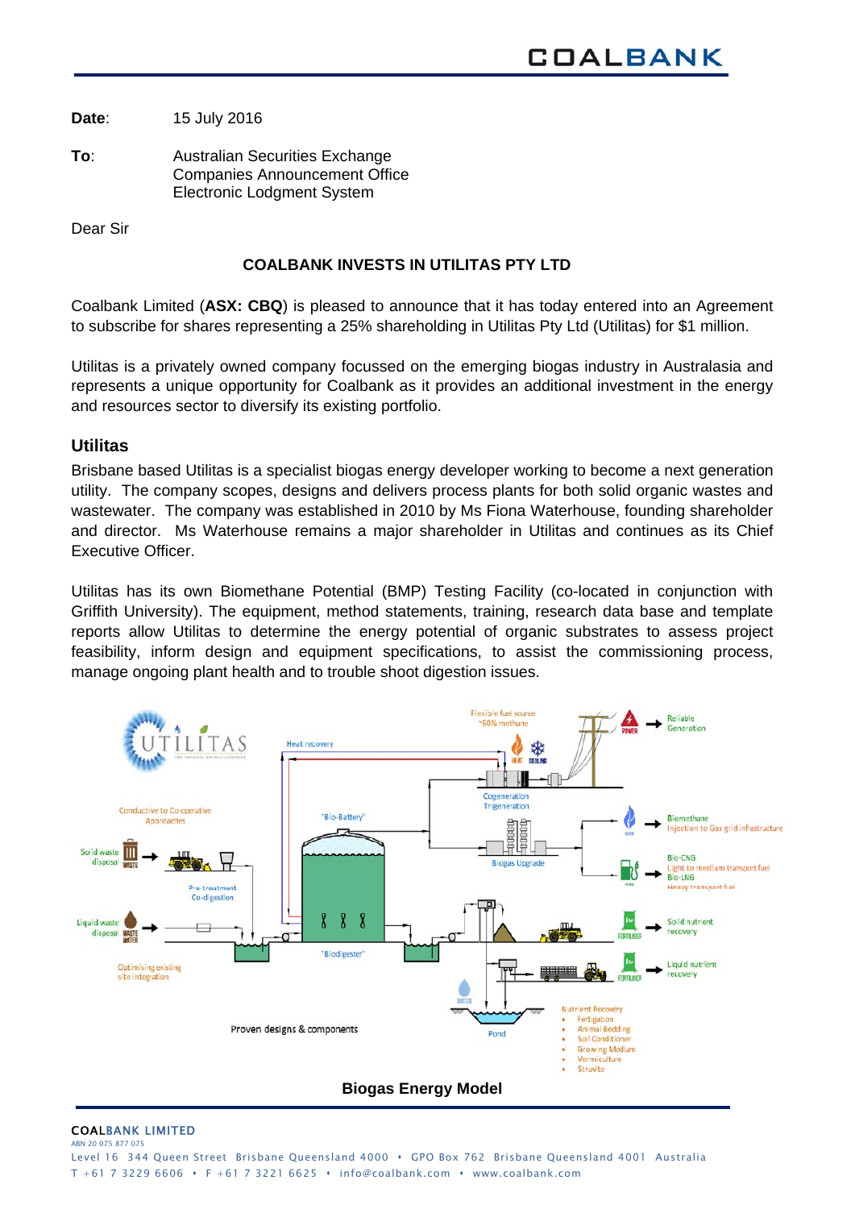**Date**: 15 July 2016

**To**: Australian Securities Exchange Companies Announcement Office Electronic Lodgment System

Dear Sir

#### **COALBANK INVESTS IN UTILITAS PTY LTD**

Coalbank Limited (**ASX: CBQ**) is pleased to announce that it has today entered into an Agreement to subscribe for shares representing a 25% shareholding in Utilitas Pty Ltd (Utilitas) for \$1 million.

Utilitas is a privately owned company focussed on the emerging biogas industry in Australasia and represents a unique opportunity for Coalbank as it provides an additional investment in the energy and resources sector to diversify its existing portfolio.

## **Utilitas**

Brisbane based Utilitas is a specialist biogas energy developer working to become a next generation utility. The company scopes, designs and delivers process plants for both solid organic wastes and wastewater. The company was established in 2010 by Ms Fiona Waterhouse, founding shareholder and director. Ms Waterhouse remains a major shareholder in Utilitas and continues as its Chief Executive Officer.

Utilitas has its own Biomethane Potential (BMP) Testing Facility (co-located in conjunction with Griffith University). The equipment, method statements, training, research data base and template reports allow Utilitas to determine the energy potential of organic substrates to assess project feasibility, inform design and equipment specifications, to assist the commissioning process, manage ongoing plant health and to trouble shoot digestion issues.



#### COALBANK LIMITED ABN 20 075 877 075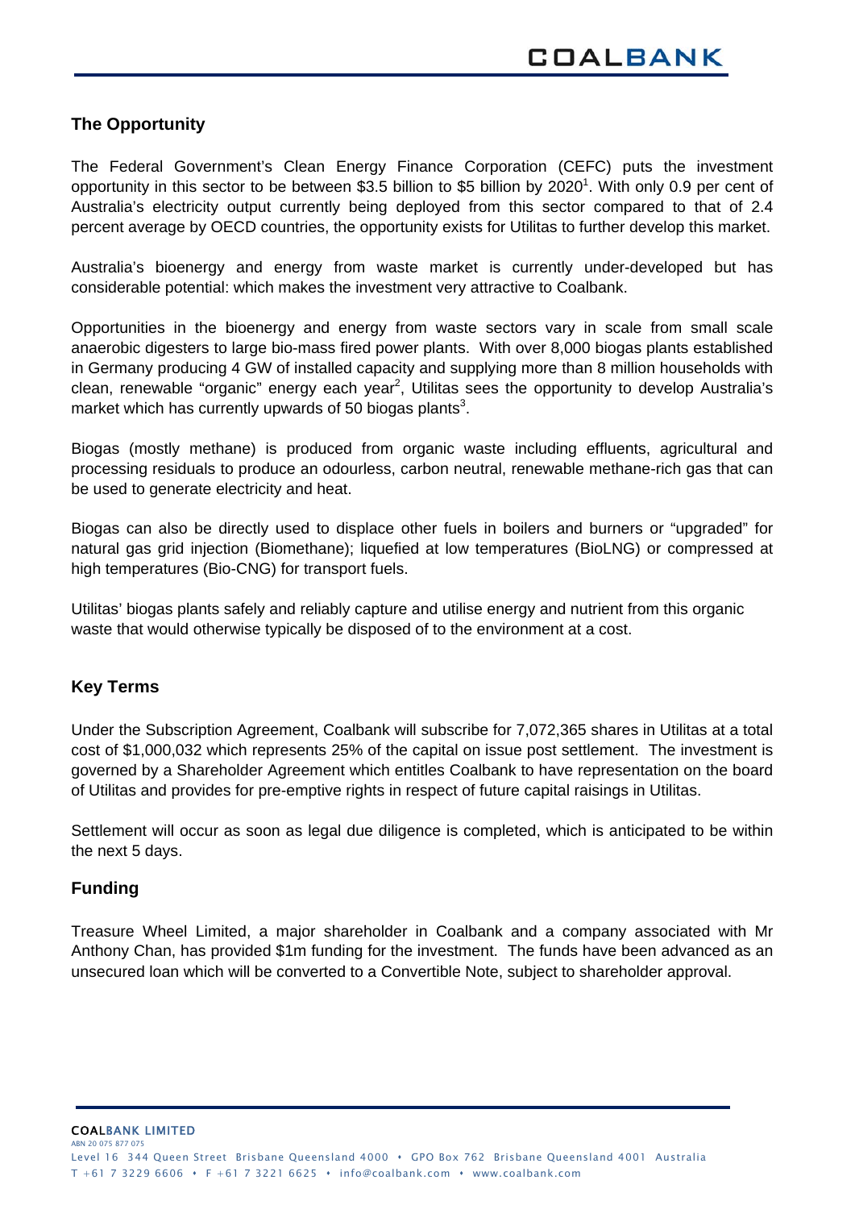# **The Opportunity**

The Federal Government's Clean Energy Finance Corporation (CEFC) puts the investment opportunity in this sector to be between \$3.5 billion to \$5 billion by 2020<sup>1</sup>. With only 0.9 per cent of Australia's electricity output currently being deployed from this sector compared to that of 2.4 percent average by OECD countries, the opportunity exists for Utilitas to further develop this market.

Australia's bioenergy and energy from waste market is currently under-developed but has considerable potential: which makes the investment very attractive to Coalbank.

Opportunities in the bioenergy and energy from waste sectors vary in scale from small scale anaerobic digesters to large bio-mass fired power plants. With over 8,000 biogas plants established in Germany producing 4 GW of installed capacity and supplying more than 8 million households with clean, renewable "organic" energy each year<sup>2</sup>, Utilitas sees the opportunity to develop Australia's market which has currently upwards of 50 biogas plants<sup>3</sup>.

Biogas (mostly methane) is produced from organic waste including effluents, agricultural and processing residuals to produce an odourless, carbon neutral, renewable methane-rich gas that can be used to generate electricity and heat.

Biogas can also be directly used to displace other fuels in boilers and burners or "upgraded" for natural gas grid injection (Biomethane); liquefied at low temperatures (BioLNG) or compressed at high temperatures (Bio-CNG) for transport fuels.

Utilitas' biogas plants safely and reliably capture and utilise energy and nutrient from this organic waste that would otherwise typically be disposed of to the environment at a cost.

## **Key Terms**

Under the Subscription Agreement, Coalbank will subscribe for 7,072,365 shares in Utilitas at a total cost of \$1,000,032 which represents 25% of the capital on issue post settlement. The investment is governed by a Shareholder Agreement which entitles Coalbank to have representation on the board of Utilitas and provides for pre-emptive rights in respect of future capital raisings in Utilitas.

Settlement will occur as soon as legal due diligence is completed, which is anticipated to be within the next 5 days.

#### **Funding**

Treasure Wheel Limited, a major shareholder in Coalbank and a company associated with Mr Anthony Chan, has provided \$1m funding for the investment. The funds have been advanced as an unsecured loan which will be converted to a Convertible Note, subject to shareholder approval.

COALBANK LIMITED ABN 20 075 877 07